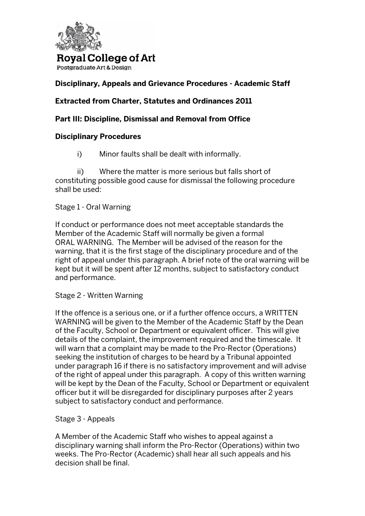

Postgraduate Art & Design

## **Disciplinary, Appeals and Grievance Procedures - Academic Staff**

### **Extracted from Charter, Statutes and Ordinances 2011**

#### **Part III: Discipline, Dismissal and Removal from Office**

#### **Disciplinary Procedures**

i) Minor faults shall be dealt with informally.

 ii) Where the matter is more serious but falls short of constituting possible good cause for dismissal the following procedure shall be used:

#### Stage 1 - Oral Warning

If conduct or performance does not meet acceptable standards the Member of the Academic Staff will normally be given a formal ORAL WARNING. The Member will be advised of the reason for the warning, that it is the first stage of the disciplinary procedure and of the right of appeal under this paragraph. A brief note of the oral warning will be kept but it will be spent after 12 months, subject to satisfactory conduct and performance.

#### Stage 2 - Written Warning

If the offence is a serious one, or if a further offence occurs, a WRITTEN WARNING will be given to the Member of the Academic Staff by the Dean of the Faculty, School or Department or equivalent officer. This will give details of the complaint, the improvement required and the timescale. It will warn that a complaint may be made to the Pro-Rector (Operations) seeking the institution of charges to be heard by a Tribunal appointed under paragraph 16 if there is no satisfactory improvement and will advise of the right of appeal under this paragraph. A copy of this written warning will be kept by the Dean of the Faculty, School or Department or equivalent officer but it will be disregarded for disciplinary purposes after 2 years subject to satisfactory conduct and performance.

#### Stage 3 - Appeals

A Member of the Academic Staff who wishes to appeal against a disciplinary warning shall inform the Pro-Rector (Operations) within two weeks. The Pro-Rector (Academic) shall hear all such appeals and his decision shall be final.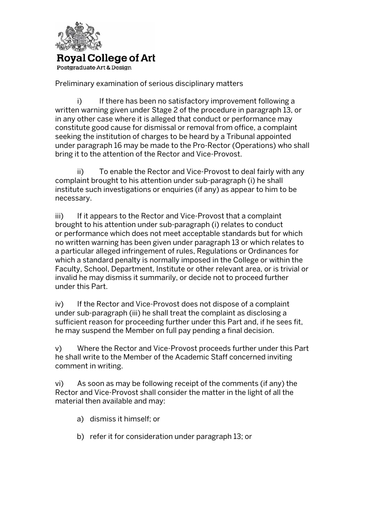

Postgraduate Art & Design

Preliminary examination of serious disciplinary matters

i) If there has been no satisfactory improvement following a written warning given under Stage 2 of the procedure in paragraph 13, or in any other case where it is alleged that conduct or performance may constitute good cause for dismissal or removal from office, a complaint seeking the institution of charges to be heard by a Tribunal appointed under paragraph 16 may be made to the Pro-Rector (Operations) who shall bring it to the attention of the Rector and Vice-Provost.

 ii) To enable the Rector and Vice-Provost to deal fairly with any complaint brought to his attention under sub-paragraph (i) he shall institute such investigations or enquiries (if any) as appear to him to be necessary.

iii) If it appears to the Rector and Vice-Provost that a complaint brought to his attention under sub-paragraph (i) relates to conduct or performance which does not meet acceptable standards but for which no written warning has been given under paragraph 13 or which relates to a particular alleged infringement of rules, Regulations or Ordinances for which a standard penalty is normally imposed in the College or within the Faculty, School, Department, Institute or other relevant area, or is trivial or invalid he may dismiss it summarily, or decide not to proceed further under this Part.

iv) If the Rector and Vice-Provost does not dispose of a complaint under sub-paragraph (iii) he shall treat the complaint as disclosing a sufficient reason for proceeding further under this Part and, if he sees fit, he may suspend the Member on full pay pending a final decision.

v) Where the Rector and Vice-Provost proceeds further under this Part he shall write to the Member of the Academic Staff concerned inviting comment in writing.

vi) As soon as may be following receipt of the comments (if any) the Rector and Vice-Provost shall consider the matter in the light of all the material then available and may:

- a) dismiss it himself; or
- b) refer it for consideration under paragraph 13; or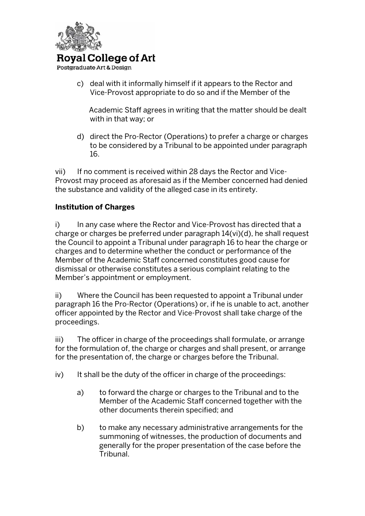

Postgraduate Art & Design

c) deal with it informally himself if it appears to the Rector and Vice-Provost appropriate to do so and if the Member of the

 Academic Staff agrees in writing that the matter should be dealt with in that way; or

d) direct the Pro-Rector (Operations) to prefer a charge or charges to be considered by a Tribunal to be appointed under paragraph 16.

vii) If no comment is received within 28 days the Rector and Vice-Provost may proceed as aforesaid as if the Member concerned had denied the substance and validity of the alleged case in its entirety.

## **Institution of Charges**

i) In any case where the Rector and Vice-Provost has directed that a charge or charges be preferred under paragraph 14(vi)(d), he shall request the Council to appoint a Tribunal under paragraph 16 to hear the charge or charges and to determine whether the conduct or performance of the Member of the Academic Staff concerned constitutes good cause for dismissal or otherwise constitutes a serious complaint relating to the Member's appointment or employment.

ii) Where the Council has been requested to appoint a Tribunal under paragraph 16 the Pro-Rector (Operations) or, if he is unable to act, another officer appointed by the Rector and Vice-Provost shall take charge of the proceedings.

iii) The officer in charge of the proceedings shall formulate, or arrange for the formulation of, the charge or charges and shall present, or arrange for the presentation of, the charge or charges before the Tribunal.

- iv) It shall be the duty of the officer in charge of the proceedings:
	- a) to forward the charge or charges to the Tribunal and to the Member of the Academic Staff concerned together with the other documents therein specified; and
	- b) to make any necessary administrative arrangements for the summoning of witnesses, the production of documents and generally for the proper presentation of the case before the Tribunal.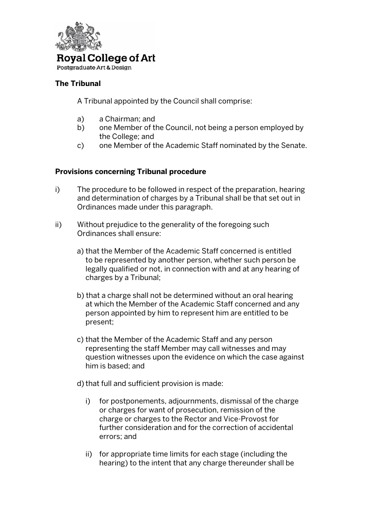

Postgraduate Art & Design

## **The Tribunal**

A Tribunal appointed by the Council shall comprise:

- a) a Chairman; and
- b) one Member of the Council, not being a person employed by the College; and
- c) one Member of the Academic Staff nominated by the Senate.

## **Provisions concerning Tribunal procedure**

- i) The procedure to be followed in respect of the preparation, hearing and determination of charges by a Tribunal shall be that set out in Ordinances made under this paragraph.
- ii) Without prejudice to the generality of the foregoing such Ordinances shall ensure:
	- a) that the Member of the Academic Staff concerned is entitled to be represented by another person, whether such person be legally qualified or not, in connection with and at any hearing of charges by a Tribunal;
	- b) that a charge shall not be determined without an oral hearing at which the Member of the Academic Staff concerned and any person appointed by him to represent him are entitled to be present;
	- c) that the Member of the Academic Staff and any person representing the staff Member may call witnesses and may question witnesses upon the evidence on which the case against him is based; and
	- d) that full and sufficient provision is made:
		- i) for postponements, adjournments, dismissal of the charge or charges for want of prosecution, remission of the charge or charges to the Rector and Vice-Provost for further consideration and for the correction of accidental errors; and
		- ii) for appropriate time limits for each stage (including the hearing) to the intent that any charge thereunder shall be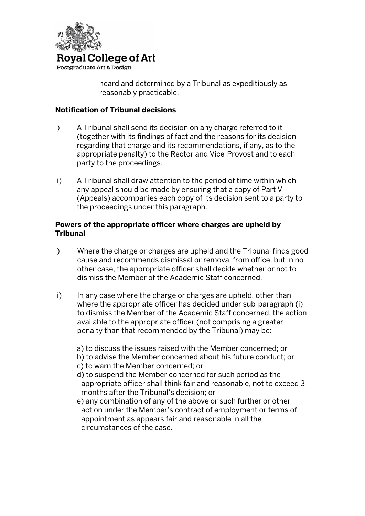

Postgraduate Art & Design

 heard and determined by a Tribunal as expeditiously as reasonably practicable.

#### **Notification of Tribunal decisions**

- i) A Tribunal shall send its decision on any charge referred to it (together with its findings of fact and the reasons for its decision regarding that charge and its recommendations, if any, as to the appropriate penalty) to the Rector and Vice-Provost and to each party to the proceedings.
- ii) A Tribunal shall draw attention to the period of time within which any appeal should be made by ensuring that a copy of Part V (Appeals) accompanies each copy of its decision sent to a party to the proceedings under this paragraph.

#### **Powers of the appropriate officer where charges are upheld by Tribunal**

- i) Where the charge or charges are upheld and the Tribunal finds good cause and recommends dismissal or removal from office, but in no other case, the appropriate officer shall decide whether or not to dismiss the Member of the Academic Staff concerned.
- ii) In any case where the charge or charges are upheld, other than where the appropriate officer has decided under sub-paragraph (i) to dismiss the Member of the Academic Staff concerned, the action available to the appropriate officer (not comprising a greater penalty than that recommended by the Tribunal) may be:
	- a) to discuss the issues raised with the Member concerned; or
	- b) to advise the Member concerned about his future conduct; or
	- c) to warn the Member concerned; or
	- d) to suspend the Member concerned for such period as the appropriate officer shall think fair and reasonable, not to exceed 3 months after the Tribunal's decision; or
	- e) any combination of any of the above or such further or other action under the Member's contract of employment or terms of appointment as appears fair and reasonable in all the circumstances of the case.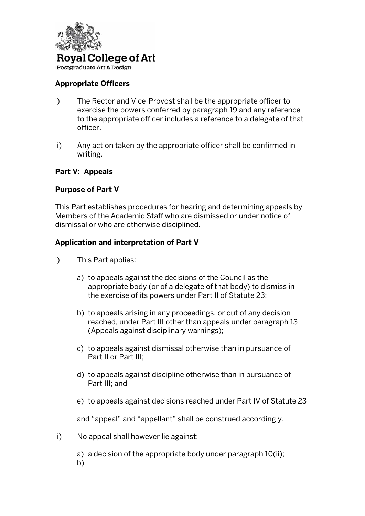

Postgraduate Art & Design

## **Appropriate Officers**

- i) The Rector and Vice-Provost shall be the appropriate officer to exercise the powers conferred by paragraph 19 and any reference to the appropriate officer includes a reference to a delegate of that officer.
- ii) Any action taken by the appropriate officer shall be confirmed in writing.

#### **Part V: Appeals**

#### **Purpose of Part V**

This Part establishes procedures for hearing and determining appeals by Members of the Academic Staff who are dismissed or under notice of dismissal or who are otherwise disciplined.

#### **Application and interpretation of Part V**

- i) This Part applies:
	- a) to appeals against the decisions of the Council as the appropriate body (or of a delegate of that body) to dismiss in the exercise of its powers under Part II of Statute 23;
	- b) to appeals arising in any proceedings, or out of any decision reached, under Part III other than appeals under paragraph 13 (Appeals against disciplinary warnings);
	- c) to appeals against dismissal otherwise than in pursuance of Part II or Part III;
	- d) to appeals against discipline otherwise than in pursuance of Part III; and
	- e) to appeals against decisions reached under Part IV of Statute 23

and "appeal" and "appellant" shall be construed accordingly.

ii) No appeal shall however lie against:

a) a decision of the appropriate body under paragraph 10(ii); b)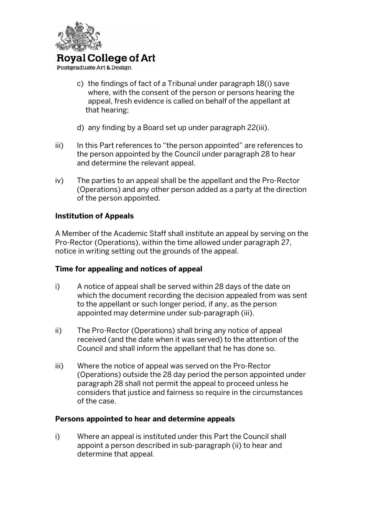

Postgraduate Art & Design

- c) the findings of fact of a Tribunal under paragraph 18(i) save where, with the consent of the person or persons hearing the appeal, fresh evidence is called on behalf of the appellant at that hearing;
- d) any finding by a Board set up under paragraph 22(iii).
- iii) In this Part references to "the person appointed" are references to the person appointed by the Council under paragraph 28 to hear and determine the relevant appeal.
- iv) The parties to an appeal shall be the appellant and the Pro-Rector (Operations) and any other person added as a party at the direction of the person appointed.

#### **Institution of Appeals**

A Member of the Academic Staff shall institute an appeal by serving on the Pro-Rector (Operations), within the time allowed under paragraph 27, notice in writing setting out the grounds of the appeal.

#### **Time for appealing and notices of appeal**

- i) A notice of appeal shall be served within 28 days of the date on which the document recording the decision appealed from was sent to the appellant or such longer period, if any, as the person appointed may determine under sub-paragraph (iii).
- ii) The Pro-Rector (Operations) shall bring any notice of appeal received (and the date when it was served) to the attention of the Council and shall inform the appellant that he has done so.
- iii) Where the notice of appeal was served on the Pro-Rector (Operations) outside the 28 day period the person appointed under paragraph 28 shall not permit the appeal to proceed unless he considers that justice and fairness so require in the circumstances of the case.

#### **Persons appointed to hear and determine appeals**

i) Where an appeal is instituted under this Part the Council shall appoint a person described in sub-paragraph (ii) to hear and determine that appeal.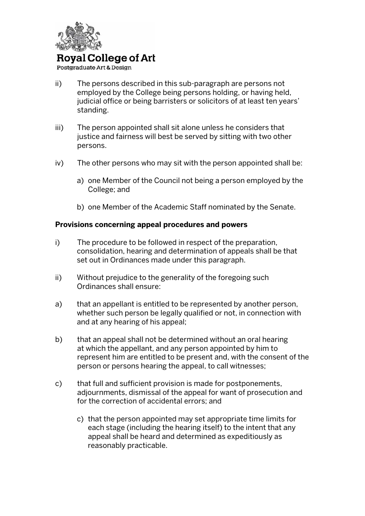

Postgraduate Art & Design

- ii) The persons described in this sub-paragraph are persons not employed by the College being persons holding, or having held, judicial office or being barristers or solicitors of at least ten years' standing.
- iii) The person appointed shall sit alone unless he considers that justice and fairness will best be served by sitting with two other persons.
- iv) The other persons who may sit with the person appointed shall be:
	- a) one Member of the Council not being a person employed by the College; and
	- b) one Member of the Academic Staff nominated by the Senate.

#### **Provisions concerning appeal procedures and powers**

- i) The procedure to be followed in respect of the preparation, consolidation, hearing and determination of appeals shall be that set out in Ordinances made under this paragraph.
- ii) Without prejudice to the generality of the foregoing such Ordinances shall ensure:
- a) that an appellant is entitled to be represented by another person, whether such person be legally qualified or not, in connection with and at any hearing of his appeal;
- b) that an appeal shall not be determined without an oral hearing at which the appellant, and any person appointed by him to represent him are entitled to be present and, with the consent of the person or persons hearing the appeal, to call witnesses;
- c) that full and sufficient provision is made for postponements, adjournments, dismissal of the appeal for want of prosecution and for the correction of accidental errors; and
	- c) that the person appointed may set appropriate time limits for each stage (including the hearing itself) to the intent that any appeal shall be heard and determined as expeditiously as reasonably practicable.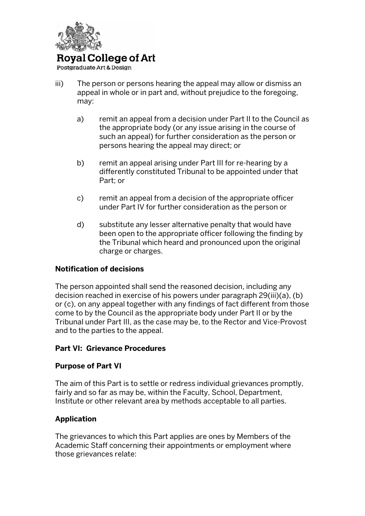

Postgraduate Art & Design

- iii) The person or persons hearing the appeal may allow or dismiss an appeal in whole or in part and, without prejudice to the foregoing, may:
	- a) remit an appeal from a decision under Part II to the Council as the appropriate body (or any issue arising in the course of such an appeal) for further consideration as the person or persons hearing the appeal may direct; or
	- b) remit an appeal arising under Part III for re-hearing by a differently constituted Tribunal to be appointed under that Part; or
	- c) remit an appeal from a decision of the appropriate officer under Part IV for further consideration as the person or
	- d) substitute any lesser alternative penalty that would have been open to the appropriate officer following the finding by the Tribunal which heard and pronounced upon the original charge or charges.

#### **Notification of decisions**

The person appointed shall send the reasoned decision, including any decision reached in exercise of his powers under paragraph 29(iii)(a), (b) or (c), on any appeal together with any findings of fact different from those come to by the Council as the appropriate body under Part II or by the Tribunal under Part III, as the case may be, to the Rector and Vice-Provost and to the parties to the appeal.

#### **Part VI: Grievance Procedures**

#### **Purpose of Part VI**

The aim of this Part is to settle or redress individual grievances promptly, fairly and so far as may be, within the Faculty, School, Department, Institute or other relevant area by methods acceptable to all parties.

## **Application**

The grievances to which this Part applies are ones by Members of the Academic Staff concerning their appointments or employment where those grievances relate: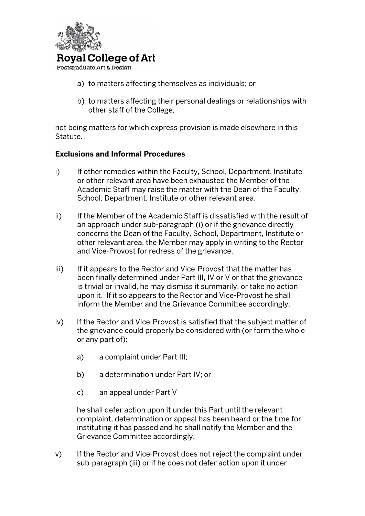

Postgraduate Art & Design

- a) to matters affecting themselves as individuals; or
- b) to matters affecting their personal dealings or relationships with other staff of the College,

not being matters for which express provision is made elsewhere in this Statute.

#### **Exclusions and Informal Procedures**

- i) If other remedies within the Faculty, School, Department, Institute or other relevant area have been exhausted the Member of the Academic Staff may raise the matter with the Dean of the Faculty, School, Department, Institute or other relevant area.
- ii) If the Member of the Academic Staff is dissatisfied with the result of an approach under sub-paragraph (i) or if the grievance directly concerns the Dean of the Faculty, School, Department, Institute or other relevant area, the Member may apply in writing to the Rector and Vice-Provost for redress of the grievance.
- iii) If it appears to the Rector and Vice-Provost that the matter has been finally determined under Part III, IV or V or that the grievance is trivial or invalid, he may dismiss it summarily, or take no action upon it. If it so appears to the Rector and Vice-Provost he shall inform the Member and the Grievance Committee accordingly.
- iv) If the Rector and Vice-Provost is satisfied that the subject matter of the grievance could properly be considered with (or form the whole or any part of):
	- a) a complaint under Part III;
	- b) a determination under Part IV; or
	- c) an appeal under Part V

he shall defer action upon it under this Part until the relevant complaint, determination or appeal has been heard or the time for instituting it has passed and he shall notify the Member and the Grievance Committee accordingly.

v) If the Rector and Vice-Provost does not reject the complaint under sub-paragraph (iii) or if he does not defer action upon it under